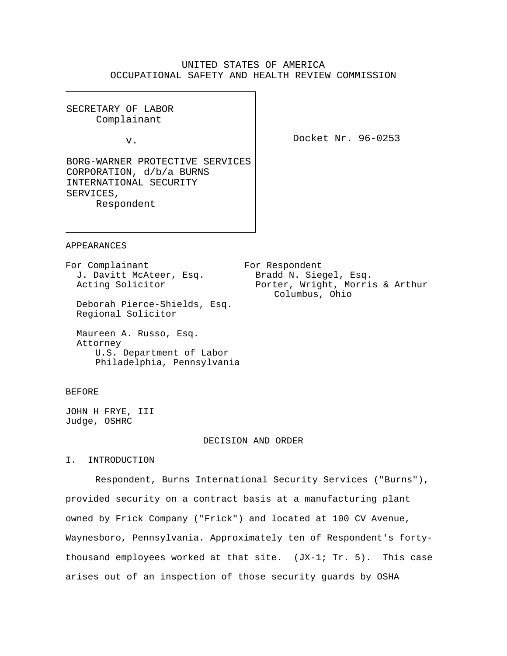# UNITED STATES OF AMERICA OCCUPATIONAL SAFETY AND HEALTH REVIEW COMMISSION

SECRETARY OF LABOR Complainant

v.

Docket Nr. 96-0253

BORG-WARNER PROTECTIVE SERVICES CORPORATION, d/b/a BURNS INTERNATIONAL SECURITY SERVICES, Respondent

APPEARANCES

J. Davitt McAteer, Esq.

For Complainant For Respondent<br>J. Davitt McAteer, Esq. Bradd N. Siegel, Esq. Acting Solicitor **Porter, Wright, Morris & Arthur** Columbus, Ohio

 Deborah Pierce-Shields, Esq. Regional Solicitor

 Maureen A. Russo, Esq. Attorney U.S. Department of Labor Philadelphia, Pennsylvania

### BEFORE

JOHN H FRYE, III Judge, OSHRC

#### DECISION AND ORDER

I. INTRODUCTION

Respondent, Burns International Security Services ("Burns"), provided security on a contract basis at a manufacturing plant owned by Frick Company ("Frick") and located at 100 CV Avenue, Waynesboro, Pennsylvania. Approximately ten of Respondent's fortythousand employees worked at that site.  $(JX-1; TT. 5)$ . This case arises out of an inspection of those security guards by OSHA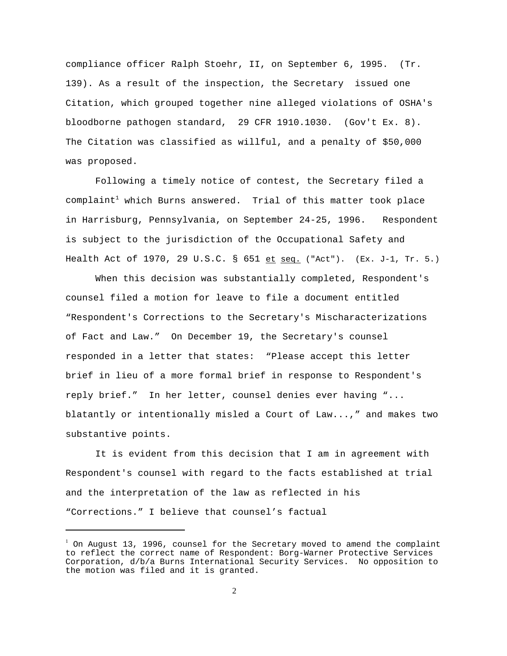compliance officer Ralph Stoehr, II, on September 6, 1995. (Tr. 139). As a result of the inspection, the Secretary issued one Citation, which grouped together nine alleged violations of OSHA's bloodborne pathogen standard, 29 CFR 1910.1030. (Gov't Ex. 8). The Citation was classified as willful, and a penalty of \$50,000 was proposed.

Following a timely notice of contest, the Secretary filed a  $complaint<sup>1</sup>$  which Burns answered. Trial of this matter took place in Harrisburg, Pennsylvania, on September 24-25, 1996. Respondent is subject to the jurisdiction of the Occupational Safety and Health Act of 1970, 29 U.S.C. § 651 et seq. ("Act"). (Ex. J-1, Tr. 5.)

When this decision was substantially completed, Respondent's counsel filed a motion for leave to file a document entitled "Respondent's Corrections to the Secretary's Mischaracterizations of Fact and Law." On December 19, the Secretary's counsel responded in a letter that states: "Please accept this letter brief in lieu of a more formal brief in response to Respondent's reply brief." In her letter, counsel denies ever having "... blatantly or intentionally misled a Court of Law...," and makes two substantive points.

It is evident from this decision that I am in agreement with Respondent's counsel with regard to the facts established at trial and the interpretation of the law as reflected in his "Corrections." I believe that counsel's factual

 $1$  On August 13, 1996, counsel for the Secretary moved to amend the complaint to reflect the correct name of Respondent: Borg-Warner Protective Services Corporation, d/b/a Burns International Security Services. No opposition to the motion was filed and it is granted.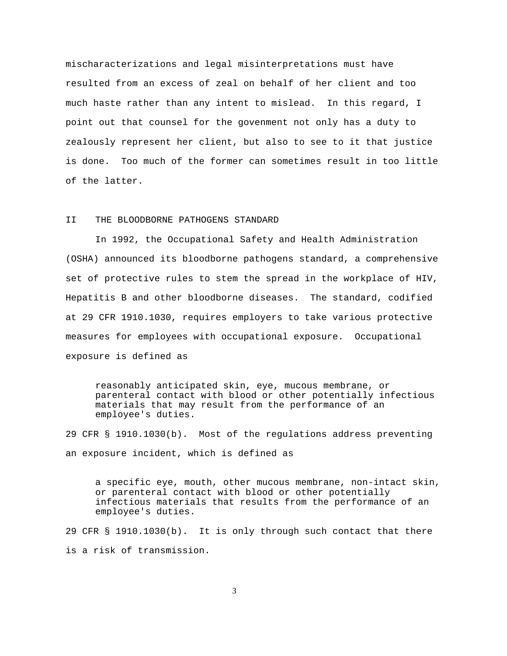mischaracterizations and legal misinterpretations must have resulted from an excess of zeal on behalf of her client and too much haste rather than any intent to mislead. In this regard, I point out that counsel for the govenment not only has a duty to zealously represent her client, but also to see to it that justice is done. Too much of the former can sometimes result in too little of the latter.

#### II THE BLOODBORNE PATHOGENS STANDARD

In 1992, the Occupational Safety and Health Administration (OSHA) announced its bloodborne pathogens standard, a comprehensive set of protective rules to stem the spread in the workplace of HIV, Hepatitis B and other bloodborne diseases. The standard, codified at 29 CFR 1910.1030, requires employers to take various protective measures for employees with occupational exposure. Occupational exposure is defined as

reasonably anticipated skin, eye, mucous membrane, or parenteral contact with blood or other potentially infectious materials that may result from the performance of an employee's duties.

29 CFR § 1910.1030(b). Most of the regulations address preventing an exposure incident, which is defined as

a specific eye, mouth, other mucous membrane, non-intact skin, or parenteral contact with blood or other potentially infectious materials that results from the performance of an employee's duties.

29 CFR § 1910.1030(b). It is only through such contact that there is a risk of transmission.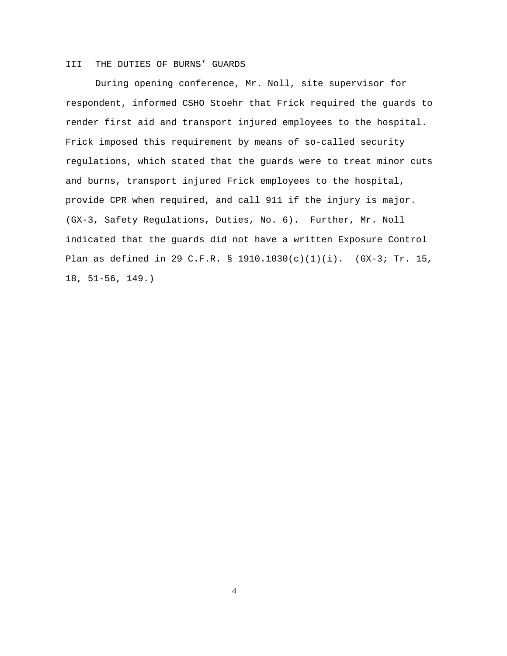## III THE DUTIES OF BURNS' GUARDS

During opening conference, Mr. Noll, site supervisor for respondent, informed CSHO Stoehr that Frick required the guards to render first aid and transport injured employees to the hospital. Frick imposed this requirement by means of so-called security regulations, which stated that the guards were to treat minor cuts and burns, transport injured Frick employees to the hospital, provide CPR when required, and call 911 if the injury is major. (GX-3, Safety Regulations, Duties, No. 6). Further, Mr. Noll indicated that the guards did not have a written Exposure Control Plan as defined in 29 C.F.R. § 1910.1030(c)(1)(i). (GX-3; Tr. 15, 18, 51-56, 149.)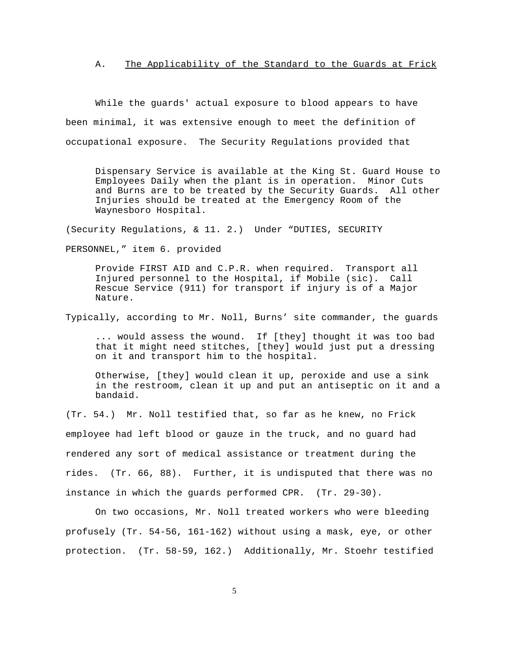A. The Applicability of the Standard to the Guards at Frick

While the guards' actual exposure to blood appears to have been minimal, it was extensive enough to meet the definition of occupational exposure. The Security Regulations provided that

Dispensary Service is available at the King St. Guard House to Employees Daily when the plant is in operation. Minor Cuts and Burns are to be treated by the Security Guards. All other Injuries should be treated at the Emergency Room of the Waynesboro Hospital.

(Security Regulations, & 11. 2.) Under "DUTIES, SECURITY

PERSONNEL," item 6. provided

Provide FIRST AID and C.P.R. when required. Transport all Injured personnel to the Hospital, if Mobile (sic). Call Rescue Service (911) for transport if injury is of a Major Nature.

Typically, according to Mr. Noll, Burns' site commander, the guards

... would assess the wound. If [they] thought it was too bad that it might need stitches, [they] would just put a dressing on it and transport him to the hospital.

Otherwise, [they] would clean it up, peroxide and use a sink in the restroom, clean it up and put an antiseptic on it and a bandaid.

(Tr. 54.) Mr. Noll testified that, so far as he knew, no Frick employee had left blood or gauze in the truck, and no guard had rendered any sort of medical assistance or treatment during the rides. (Tr. 66, 88). Further, it is undisputed that there was no instance in which the guards performed CPR. (Tr. 29-30).

On two occasions, Mr. Noll treated workers who were bleeding profusely (Tr. 54-56, 161-162) without using a mask, eye, or other protection. (Tr. 58-59, 162.) Additionally, Mr. Stoehr testified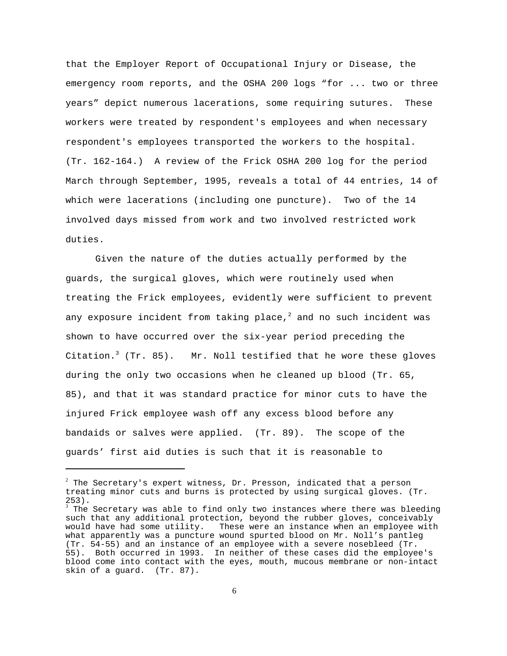that the Employer Report of Occupational Injury or Disease, the emergency room reports, and the OSHA 200 logs "for ... two or three years" depict numerous lacerations, some requiring sutures. These workers were treated by respondent's employees and when necessary respondent's employees transported the workers to the hospital. (Tr. 162-164.) A review of the Frick OSHA 200 log for the period March through September, 1995, reveals a total of 44 entries, 14 of which were lacerations (including one puncture). Two of the 14 involved days missed from work and two involved restricted work duties.

Given the nature of the duties actually performed by the guards, the surgical gloves, which were routinely used when treating the Frick employees, evidently were sufficient to prevent any exposure incident from taking place, $^2$  and no such incident was shown to have occurred over the six-year period preceding the Citation.<sup>3</sup> (Tr. 85). Mr. Noll testified that he wore these gloves during the only two occasions when he cleaned up blood (Tr. 65, 85), and that it was standard practice for minor cuts to have the injured Frick employee wash off any excess blood before any bandaids or salves were applied. (Tr. 89). The scope of the guards' first aid duties is such that it is reasonable to

 $2$  The Secretary's expert witness, Dr. Presson, indicated that a person treating minor cuts and burns is protected by using surgical gloves. (Tr. 253).

 $^3$  The Secretary was able to find only two instances where there was bleeding such that any additional protection, beyond the rubber gloves, conceivably would have had some utility. These were an instance when an employee with what apparently was a puncture wound spurted blood on Mr. Noll's pantleg (Tr. 54-55) and an instance of an employee with a severe nosebleed (Tr. 55). Both occurred in 1993. In neither of these cases did the employee's blood come into contact with the eyes, mouth, mucous membrane or non-intact skin of a guard. (Tr. 87).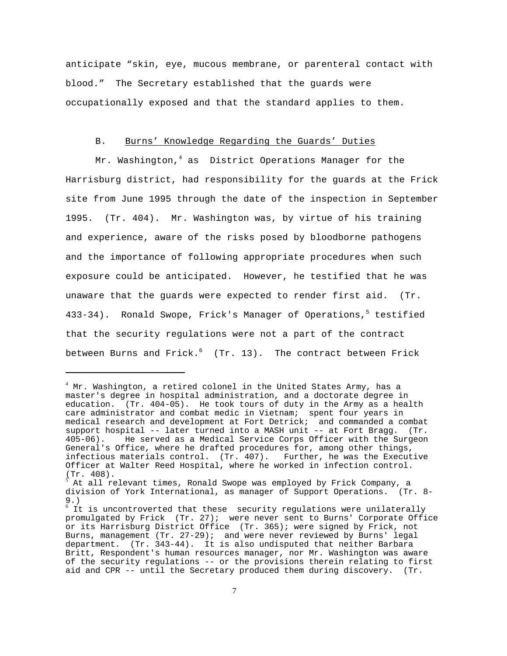anticipate "skin, eye, mucous membrane, or parenteral contact with blood." The Secretary established that the guards were occupationally exposed and that the standard applies to them.

#### B. Burns' Knowledge Regarding the Guards' Duties

Mr. Washington, $4$  as District Operations Manager for the Harrisburg district, had responsibility for the guards at the Frick site from June 1995 through the date of the inspection in September 1995. (Tr. 404). Mr. Washington was, by virtue of his training and experience, aware of the risks posed by bloodborne pathogens and the importance of following appropriate procedures when such exposure could be anticipated. However, he testified that he was unaware that the guards were expected to render first aid. (Tr. 433-34). Ronald Swope, Frick's Manager of Operations,<sup>5</sup> testified that the security regulations were not a part of the contract between Burns and Frick. $6$  (Tr. 13). The contract between Frick

<sup>&</sup>lt;sup>4</sup> Mr. Washington, a retired colonel in the United States Army, has a master's degree in hospital administration, and a doctorate degree in education. (Tr. 404-05). He took tours of duty in the Army as a health care administrator and combat medic in Vietnam; spent four years in medical research and development at Fort Detrick; and commanded a combat support hospital -- later turned into a MASH unit -- at Fort Bragg. (Tr. 405-06). He served as a Medical Service Corps Officer with the Surgeon General's Office, where he drafted procedures for, among other things, infectious materials control. (Tr. 407). Further, he was the Executive Officer at Walter Reed Hospital, where he worked in infection control. (Tr. 408).

 $^5$  At all relevant times, Ronald Swope was employed by Frick Company, a division of York International, as manager of Support Operations. (Tr. 8- 9.)

 $6$  It is uncontroverted that these security regulations were unilaterally promulgated by Frick (Tr. 27); were never sent to Burns' Corporate Office or its Harrisburg District Office (Tr. 365); were signed by Frick, not Burns, management (Tr. 27-29); and were never reviewed by Burns' legal department. (Tr. 343-44). It is also undisputed that neither Barbara Britt, Respondent's human resources manager, nor Mr. Washington was aware of the security regulations -- or the provisions therein relating to first aid and CPR -- until the Secretary produced them during discovery. (Tr.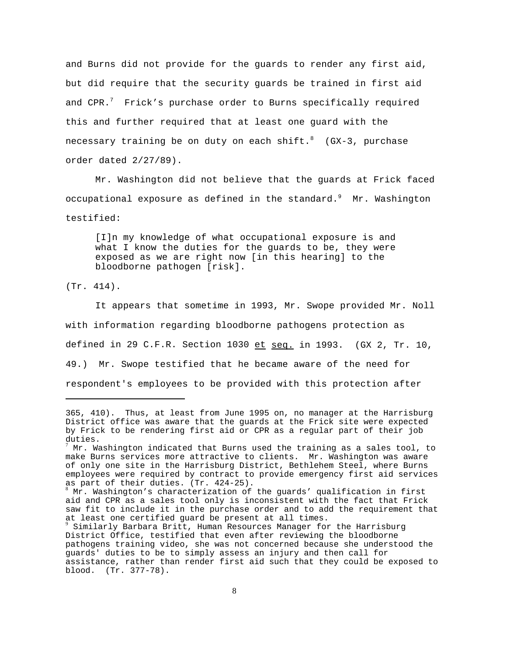and Burns did not provide for the guards to render any first aid, but did require that the security guards be trained in first aid and CPR. $^7$  Frick's purchase order to Burns specifically required this and further required that at least one guard with the necessary training be on duty on each shift. $8$  (GX-3, purchase order dated 2/27/89).

Mr. Washington did not believe that the guards at Frick faced occupational exposure as defined in the standard. $9$  Mr. Washington testified:

[I]n my knowledge of what occupational exposure is and what I know the duties for the guards to be, they were exposed as we are right now [in this hearing] to the bloodborne pathogen [risk].

(Tr. 414).

It appears that sometime in 1993, Mr. Swope provided Mr. Noll with information regarding bloodborne pathogens protection as defined in 29 C.F.R. Section 1030 et seq. in 1993. (GX 2, Tr. 10, 49.) Mr. Swope testified that he became aware of the need for respondent's employees to be provided with this protection after

<sup>365, 410).</sup> Thus, at least from June 1995 on, no manager at the Harrisburg District office was aware that the guards at the Frick site were expected by Frick to be rendering first aid or CPR as a regular part of their job duties.

<sup>&</sup>lt;sup>'</sup> Mr. Washington indicated that Burns used the training as a sales tool, to make Burns services more attractive to clients. Mr. Washington was aware of only one site in the Harrisburg District, Bethlehem Steel, where Burns employees were required by contract to provide emergency first aid services as part of their duties. (Tr. 424-25).

 $8$  Mr. Washington's characterization of the guards' qualification in first aid and CPR as a sales tool only is inconsistent with the fact that Frick saw fit to include it in the purchase order and to add the requirement that at least one certified guard be present at all times.

 $\frac{9}{9}$  Similarly Barbara Britt, Human Resources Manager for the Harrisburg District Office, testified that even after reviewing the bloodborne pathogens training video, she was not concerned because she understood the guards' duties to be to simply assess an injury and then call for assistance, rather than render first aid such that they could be exposed to blood. (Tr. 377-78).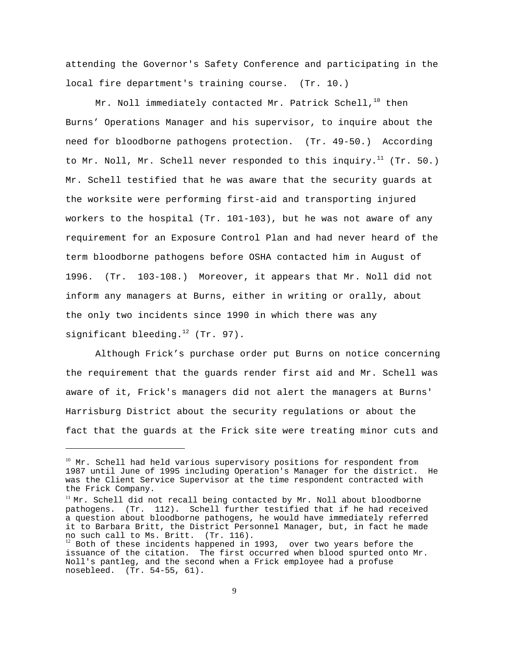attending the Governor's Safety Conference and participating in the local fire department's training course. (Tr. 10.)

Mr. Noll immediately contacted Mr. Patrick Schell, $^{10}$  then Burns' Operations Manager and his supervisor, to inquire about the need for bloodborne pathogens protection. (Tr. 49-50.) According to Mr. Noll, Mr. Schell never responded to this inquiry.<sup>11</sup> (Tr. 50.) Mr. Schell testified that he was aware that the security guards at the worksite were performing first-aid and transporting injured workers to the hospital (Tr. 101-103), but he was not aware of any requirement for an Exposure Control Plan and had never heard of the term bloodborne pathogens before OSHA contacted him in August of 1996. (Tr. 103-108.) Moreover, it appears that Mr. Noll did not inform any managers at Burns, either in writing or orally, about the only two incidents since 1990 in which there was any significant bleeding. $12$  (Tr. 97).

Although Frick's purchase order put Burns on notice concerning the requirement that the guards render first aid and Mr. Schell was aware of it, Frick's managers did not alert the managers at Burns' Harrisburg District about the security regulations or about the fact that the guards at the Frick site were treating minor cuts and

<sup>&</sup>lt;sup>10</sup> Mr. Schell had held various supervisory positions for respondent from 1987 until June of 1995 including Operation's Manager for the district. He was the Client Service Supervisor at the time respondent contracted with the Frick Company.

 $11$  Mr. Schell did not recall being contacted by Mr. Noll about bloodborne pathogens. (Tr. 112). Schell further testified that if he had received a question about bloodborne pathogens, he would have immediately referred it to Barbara Britt, the District Personnel Manager, but, in fact he made no such call to Ms. Britt. (Tr. 116).

 $12$  Both of these incidents happened in 1993, over two years before the issuance of the citation. The first occurred when blood spurted onto Mr. Noll's pantleg, and the second when a Frick employee had a profuse nosebleed. (Tr. 54-55, 61).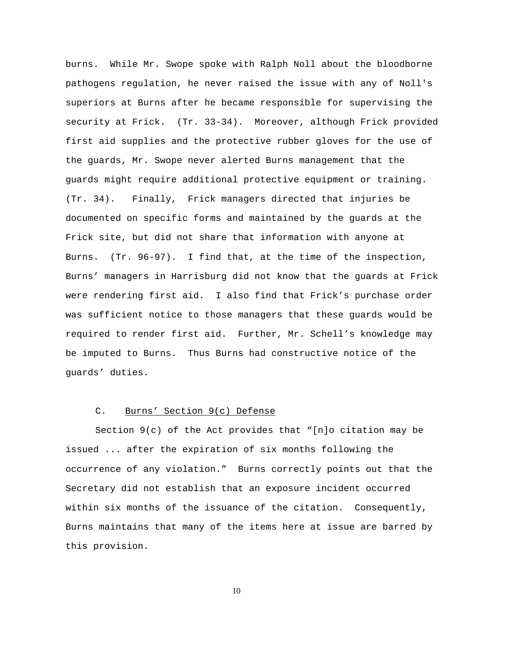burns. While Mr. Swope spoke with Ralph Noll about the bloodborne pathogens regulation, he never raised the issue with any of Noll's superiors at Burns after he became responsible for supervising the security at Frick. (Tr. 33-34). Moreover, although Frick provided first aid supplies and the protective rubber gloves for the use of the guards, Mr. Swope never alerted Burns management that the guards might require additional protective equipment or training. (Tr. 34). Finally, Frick managers directed that injuries be documented on specific forms and maintained by the guards at the Frick site, but did not share that information with anyone at Burns. (Tr. 96-97). I find that, at the time of the inspection, Burns' managers in Harrisburg did not know that the guards at Frick were rendering first aid. I also find that Frick's purchase order was sufficient notice to those managers that these guards would be required to render first aid. Further, Mr. Schell's knowledge may be imputed to Burns. Thus Burns had constructive notice of the guards' duties.

#### C. Burns' Section 9(c) Defense

Section 9(c) of the Act provides that "[n]o citation may be issued ... after the expiration of six months following the occurrence of any violation." Burns correctly points out that the Secretary did not establish that an exposure incident occurred within six months of the issuance of the citation. Consequently, Burns maintains that many of the items here at issue are barred by this provision.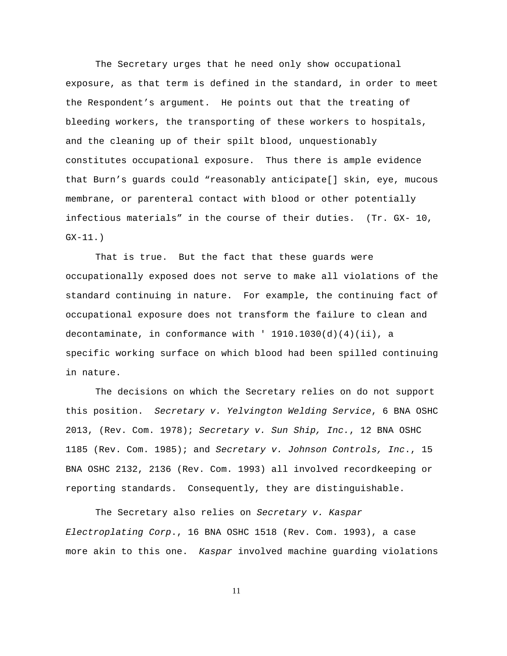The Secretary urges that he need only show occupational exposure, as that term is defined in the standard, in order to meet the Respondent's argument. He points out that the treating of bleeding workers, the transporting of these workers to hospitals, and the cleaning up of their spilt blood, unquestionably constitutes occupational exposure. Thus there is ample evidence that Burn's guards could "reasonably anticipate[] skin, eye, mucous membrane, or parenteral contact with blood or other potentially infectious materials" in the course of their duties. (Tr. GX- 10, GX-11.)

That is true. But the fact that these guards were occupationally exposed does not serve to make all violations of the standard continuing in nature. For example, the continuing fact of occupational exposure does not transform the failure to clean and decontaminate, in conformance with  $'$  1910.1030(d)(4)(ii), a specific working surface on which blood had been spilled continuing in nature.

The decisions on which the Secretary relies on do not support this position. Secretary v. Yelvington Welding Service, 6 BNA OSHC 2013, (Rev. Com. 1978); Secretary v. Sun Ship, Inc., 12 BNA OSHC 1185 (Rev. Com. 1985); and Secretary v. Johnson Controls, Inc., 15 BNA OSHC 2132, 2136 (Rev. Com. 1993) all involved recordkeeping or reporting standards. Consequently, they are distinguishable.

The Secretary also relies on Secretary v. Kaspar Electroplating Corp., 16 BNA OSHC 1518 (Rev. Com. 1993), a case more akin to this one. Kaspar involved machine guarding violations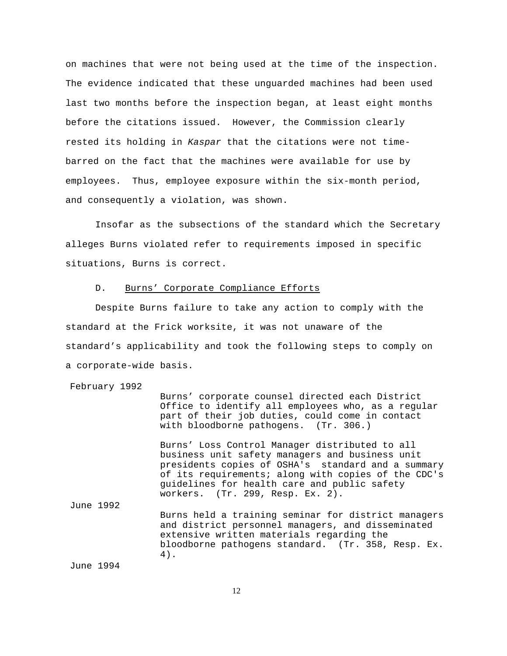on machines that were not being used at the time of the inspection. The evidence indicated that these unguarded machines had been used last two months before the inspection began, at least eight months before the citations issued. However, the Commission clearly rested its holding in Kaspar that the citations were not timebarred on the fact that the machines were available for use by employees. Thus, employee exposure within the six-month period, and consequently a violation, was shown.

Insofar as the subsections of the standard which the Secretary alleges Burns violated refer to requirements imposed in specific situations, Burns is correct.

#### D. Burns' Corporate Compliance Efforts

Despite Burns failure to take any action to comply with the standard at the Frick worksite, it was not unaware of the standard's applicability and took the following steps to comply on a corporate-wide basis.

February 1992

Burns' corporate counsel directed each District Office to identify all employees who, as a regular part of their job duties, could come in contact with bloodborne pathogens. (Tr. 306.)

Burns' Loss Control Manager distributed to all business unit safety managers and business unit presidents copies of OSHA's standard and a summary of its requirements; along with copies of the CDC's guidelines for health care and public safety workers. (Tr. 299, Resp. Ex. 2).

Burns held a training seminar for district managers and district personnel managers, and disseminated extensive written materials regarding the bloodborne pathogens standard. (Tr. 358, Resp. Ex. 4).

June 1994

June 1992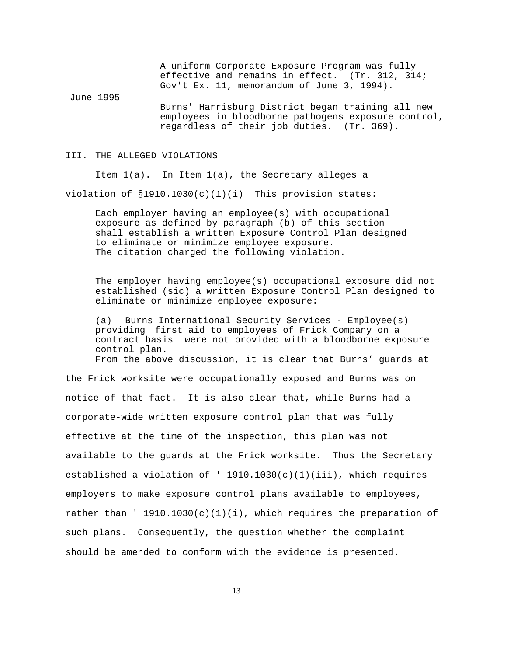A uniform Corporate Exposure Program was fully effective and remains in effect. (Tr. 312, 314; Gov't Ex. 11, memorandum of June 3, 1994).

June 1995 Burns' Harrisburg District began training all new employees in bloodborne pathogens exposure control, regardless of their job duties. (Tr. 369).

#### III. THE ALLEGED VIOLATIONS

Item  $1(a)$ . In Item  $1(a)$ , the Secretary alleges a

violation of  $$1910.1030(c)(1)(i)$  This provision states:

Each employer having an employee(s) with occupational exposure as defined by paragraph (b) of this section shall establish a written Exposure Control Plan designed to eliminate or minimize employee exposure. The citation charged the following violation.

The employer having employee(s) occupational exposure did not established (sic) a written Exposure Control Plan designed to eliminate or minimize employee exposure:

(a) Burns International Security Services - Employee(s) providing first aid to employees of Frick Company on a contract basis were not provided with a bloodborne exposure control plan. From the above discussion, it is clear that Burns' guards at

the Frick worksite were occupationally exposed and Burns was on notice of that fact. It is also clear that, while Burns had a corporate-wide written exposure control plan that was fully effective at the time of the inspection, this plan was not available to the guards at the Frick worksite. Thus the Secretary established a violation of '  $1910.1030(c)(1)(iii)$ , which requires employers to make exposure control plans available to employees, rather than '  $1910.1030(c)(1)(i)$ , which requires the preparation of such plans. Consequently, the question whether the complaint should be amended to conform with the evidence is presented.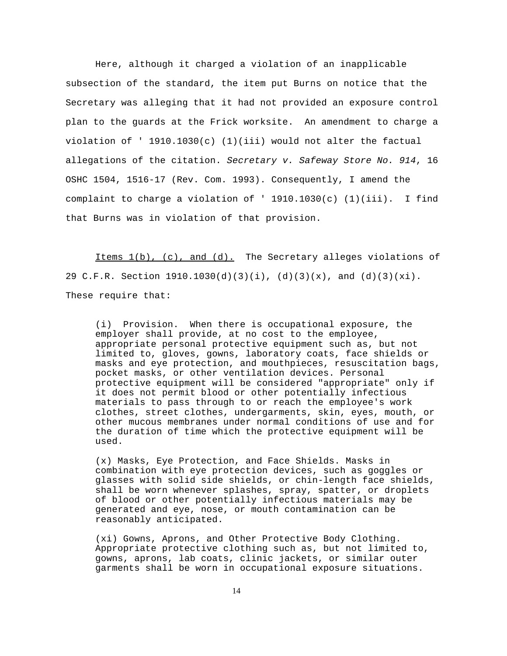Here, although it charged a violation of an inapplicable subsection of the standard, the item put Burns on notice that the Secretary was alleging that it had not provided an exposure control plan to the guards at the Frick worksite. An amendment to charge a violation of '  $1910.1030(c)$  (1)(iii) would not alter the factual allegations of the citation. Secretary v. Safeway Store No. 914, 16 OSHC 1504, 1516-17 (Rev. Com. 1993). Consequently, I amend the complaint to charge a violation of '  $1910.1030(c)$  (1)(iii). I find that Burns was in violation of that provision.

Items 1(b), (c), and (d). The Secretary alleges violations of 29 C.F.R. Section  $1910.1030(d)(3)(i)$ , (d)(3)(x), and (d)(3)(xi). These require that:

(i) Provision. When there is occupational exposure, the employer shall provide, at no cost to the employee, appropriate personal protective equipment such as, but not limited to, gloves, gowns, laboratory coats, face shields or masks and eye protection, and mouthpieces, resuscitation bags, pocket masks, or other ventilation devices. Personal protective equipment will be considered "appropriate" only if it does not permit blood or other potentially infectious materials to pass through to or reach the employee's work clothes, street clothes, undergarments, skin, eyes, mouth, or other mucous membranes under normal conditions of use and for the duration of time which the protective equipment will be used.

(x) Masks, Eye Protection, and Face Shields. Masks in combination with eye protection devices, such as goggles or glasses with solid side shields, or chin-length face shields, shall be worn whenever splashes, spray, spatter, or droplets of blood or other potentially infectious materials may be generated and eye, nose, or mouth contamination can be reasonably anticipated.

(xi) Gowns, Aprons, and Other Protective Body Clothing. Appropriate protective clothing such as, but not limited to, gowns, aprons, lab coats, clinic jackets, or similar outer garments shall be worn in occupational exposure situations.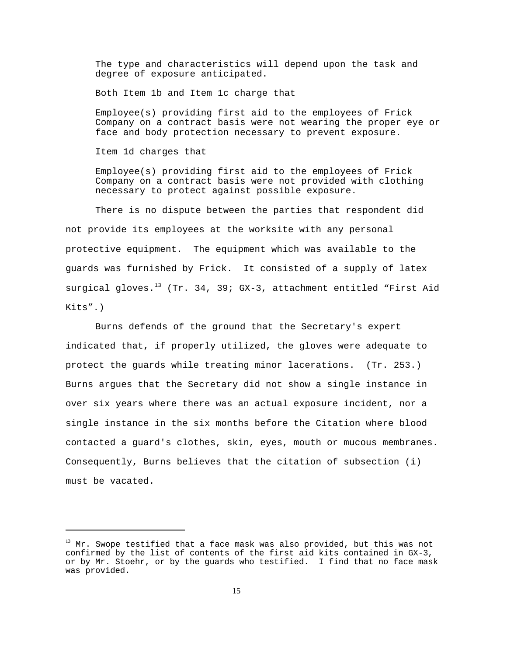The type and characteristics will depend upon the task and degree of exposure anticipated.

Both Item 1b and Item 1c charge that

Employee(s) providing first aid to the employees of Frick Company on a contract basis were not wearing the proper eye or face and body protection necessary to prevent exposure.

Item 1d charges that

Employee(s) providing first aid to the employees of Frick Company on a contract basis were not provided with clothing necessary to protect against possible exposure.

There is no dispute between the parties that respondent did not provide its employees at the worksite with any personal protective equipment. The equipment which was available to the guards was furnished by Frick. It consisted of a supply of latex surgical gloves.<sup>13</sup> (Tr. 34, 39; GX-3, attachment entitled "First Aid Kits".)

Burns defends of the ground that the Secretary's expert indicated that, if properly utilized, the gloves were adequate to protect the guards while treating minor lacerations. (Tr. 253.) Burns argues that the Secretary did not show a single instance in over six years where there was an actual exposure incident, nor a single instance in the six months before the Citation where blood contacted a guard's clothes, skin, eyes, mouth or mucous membranes. Consequently, Burns believes that the citation of subsection (i) must be vacated.

 $13$  Mr. Swope testified that a face mask was also provided, but this was not confirmed by the list of contents of the first aid kits contained in GX-3, or by Mr. Stoehr, or by the guards who testified. I find that no face mask was provided.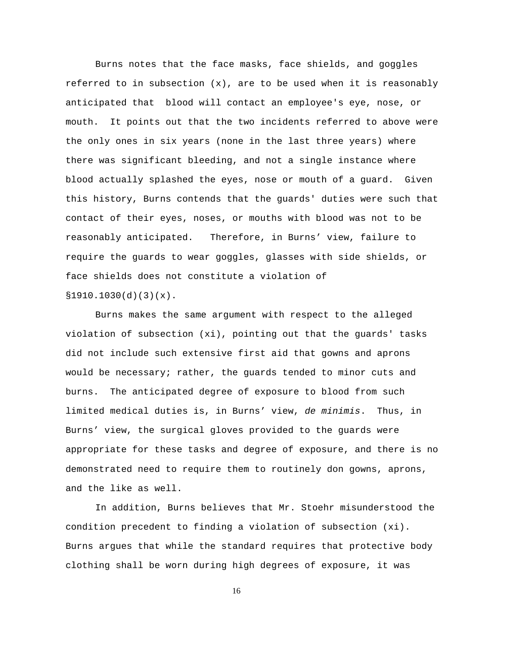Burns notes that the face masks, face shields, and goggles referred to in subsection  $(x)$ , are to be used when it is reasonably anticipated that blood will contact an employee's eye, nose, or mouth. It points out that the two incidents referred to above were the only ones in six years (none in the last three years) where there was significant bleeding, and not a single instance where blood actually splashed the eyes, nose or mouth of a guard. Given this history, Burns contends that the guards' duties were such that contact of their eyes, noses, or mouths with blood was not to be reasonably anticipated. Therefore, in Burns' view, failure to require the guards to wear goggles, glasses with side shields, or face shields does not constitute a violation of  $$1910.1030(d)(3)(x).$ 

Burns makes the same argument with respect to the alleged violation of subsection (xi), pointing out that the guards' tasks did not include such extensive first aid that gowns and aprons would be necessary; rather, the guards tended to minor cuts and burns. The anticipated degree of exposure to blood from such limited medical duties is, in Burns' view, de minimis. Thus, in Burns' view, the surgical gloves provided to the guards were appropriate for these tasks and degree of exposure, and there is no demonstrated need to require them to routinely don gowns, aprons, and the like as well.

In addition, Burns believes that Mr. Stoehr misunderstood the condition precedent to finding a violation of subsection (xi). Burns argues that while the standard requires that protective body clothing shall be worn during high degrees of exposure, it was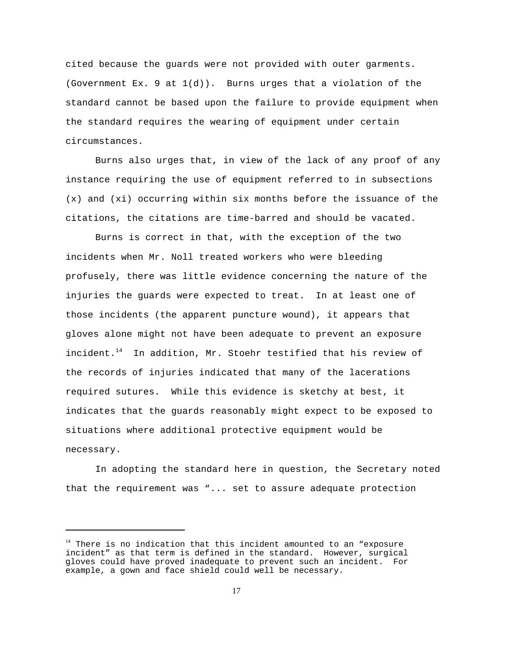cited because the guards were not provided with outer garments. (Government Ex. 9 at  $1(d)$ ). Burns urges that a violation of the standard cannot be based upon the failure to provide equipment when the standard requires the wearing of equipment under certain circumstances.

Burns also urges that, in view of the lack of any proof of any instance requiring the use of equipment referred to in subsections (x) and (xi) occurring within six months before the issuance of the citations, the citations are time-barred and should be vacated.

Burns is correct in that, with the exception of the two incidents when Mr. Noll treated workers who were bleeding profusely, there was little evidence concerning the nature of the injuries the guards were expected to treat. In at least one of those incidents (the apparent puncture wound), it appears that gloves alone might not have been adequate to prevent an exposure incident. $14$  In addition, Mr. Stoehr testified that his review of the records of injuries indicated that many of the lacerations required sutures. While this evidence is sketchy at best, it indicates that the guards reasonably might expect to be exposed to situations where additional protective equipment would be necessary.

In adopting the standard here in question, the Secretary noted that the requirement was "... set to assure adequate protection

<sup>&</sup>lt;sup>14</sup> There is no indication that this incident amounted to an "exposure incident" as that term is defined in the standard. However, surgical gloves could have proved inadequate to prevent such an incident. For example, a gown and face shield could well be necessary.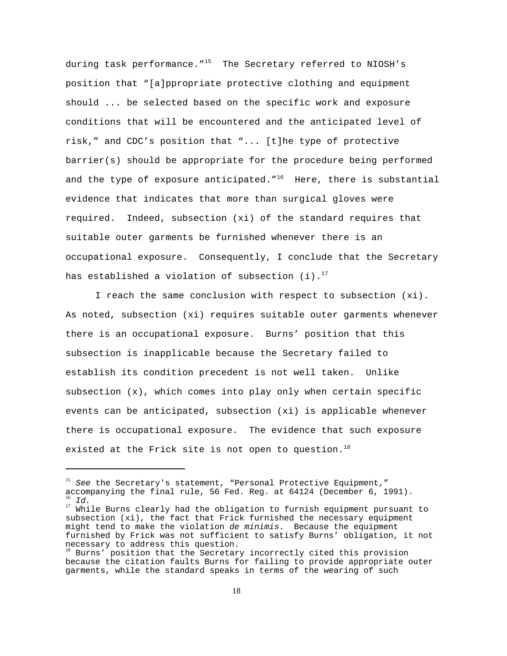during task performance."<sup>15</sup> The Secretary referred to NIOSH's position that "[a]ppropriate protective clothing and equipment should ... be selected based on the specific work and exposure conditions that will be encountered and the anticipated level of risk," and CDC's position that "... [t]he type of protective barrier(s) should be appropriate for the procedure being performed and the type of exposure anticipated. $16$ <sup>16</sup> Here, there is substantial evidence that indicates that more than surgical gloves were required. Indeed, subsection (xi) of the standard requires that suitable outer garments be furnished whenever there is an occupational exposure. Consequently, I conclude that the Secretary has established a violation of subsection  $(i).$ <sup>17</sup>

I reach the same conclusion with respect to subsection (xi). As noted, subsection (xi) requires suitable outer garments whenever there is an occupational exposure. Burns' position that this subsection is inapplicable because the Secretary failed to establish its condition precedent is not well taken. Unlike subsection  $(x)$ , which comes into play only when certain specific events can be anticipated, subsection (xi) is applicable whenever there is occupational exposure. The evidence that such exposure existed at the Frick site is not open to question.<sup>18</sup>

 $15$  See the Secretary's statement, "Personal Protective Equipment," accompanying the final rule, 56 Fed. Reg. at 64124 (December 6, 1991). Id.

<sup>&</sup>lt;sup>17</sup> While Burns clearly had the obligation to furnish equipment pursuant to subsection (xi), the fact that Frick furnished the necessary equipment might tend to make the violation de minimis. Because the equipment furnished by Frick was not sufficient to satisfy Burns' obligation, it not necessary to address this question.

<sup>&</sup>lt;sup>18</sup> Burns' position that the Secretary incorrectly cited this provision because the citation faults Burns for failing to provide appropriate outer garments, while the standard speaks in terms of the wearing of such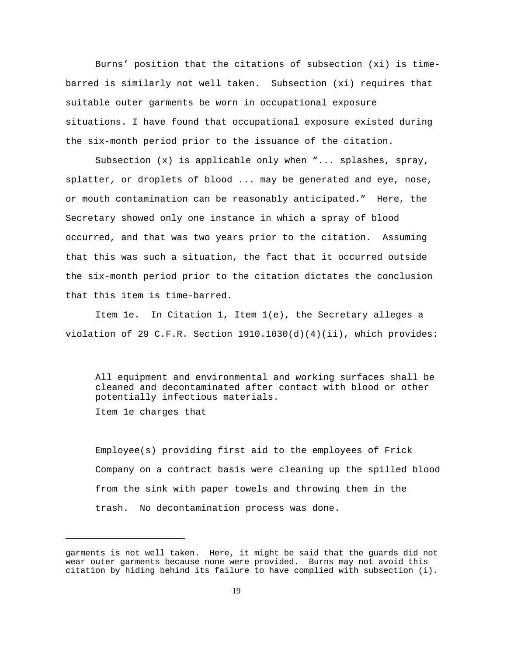Burns' position that the citations of subsection (xi) is timebarred is similarly not well taken. Subsection (xi) requires that suitable outer garments be worn in occupational exposure situations. I have found that occupational exposure existed during the six-month period prior to the issuance of the citation.

Subsection (x) is applicable only when "... splashes, spray, splatter, or droplets of blood ... may be generated and eye, nose, or mouth contamination can be reasonably anticipated." Here, the Secretary showed only one instance in which a spray of blood occurred, and that was two years prior to the citation. Assuming that this was such a situation, the fact that it occurred outside the six-month period prior to the citation dictates the conclusion that this item is time-barred.

Item 1e. In Citation 1, Item 1(e), the Secretary alleges a violation of 29 C.F.R. Section  $1910.1030(d)(4)(ii)$ , which provides:

All equipment and environmental and working surfaces shall be cleaned and decontaminated after contact with blood or other potentially infectious materials. Item 1e charges that

Employee(s) providing first aid to the employees of Frick Company on a contract basis were cleaning up the spilled blood from the sink with paper towels and throwing them in the trash. No decontamination process was done.

garments is not well taken. Here, it might be said that the guards did not wear outer garments because none were provided. Burns may not avoid this citation by hiding behind its failure to have complied with subsection (i).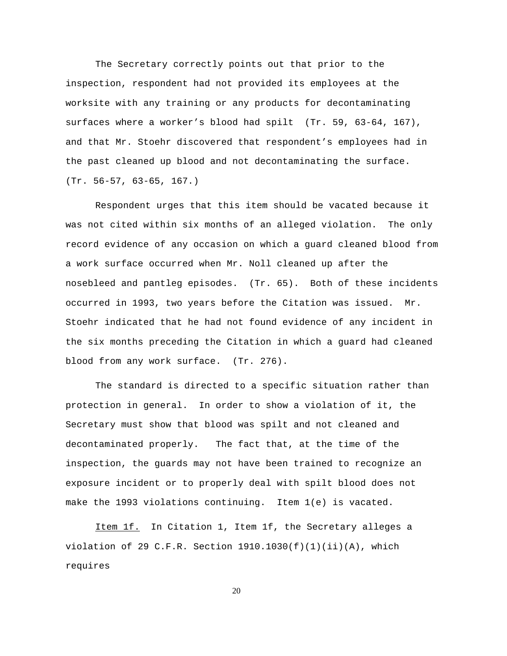The Secretary correctly points out that prior to the inspection, respondent had not provided its employees at the worksite with any training or any products for decontaminating surfaces where a worker's blood had spilt (Tr. 59, 63-64, 167), and that Mr. Stoehr discovered that respondent's employees had in the past cleaned up blood and not decontaminating the surface. (Tr. 56-57, 63-65, 167.)

Respondent urges that this item should be vacated because it was not cited within six months of an alleged violation. The only record evidence of any occasion on which a guard cleaned blood from a work surface occurred when Mr. Noll cleaned up after the nosebleed and pantleg episodes. (Tr. 65). Both of these incidents occurred in 1993, two years before the Citation was issued. Mr. Stoehr indicated that he had not found evidence of any incident in the six months preceding the Citation in which a guard had cleaned blood from any work surface. (Tr. 276).

The standard is directed to a specific situation rather than protection in general. In order to show a violation of it, the Secretary must show that blood was spilt and not cleaned and decontaminated properly. The fact that, at the time of the inspection, the guards may not have been trained to recognize an exposure incident or to properly deal with spilt blood does not make the 1993 violations continuing. Item 1(e) is vacated.

Item 1f. In Citation 1, Item 1f, the Secretary alleges a violation of 29 C.F.R. Section  $1910.1030(f)(1)(ii)(A)$ , which requires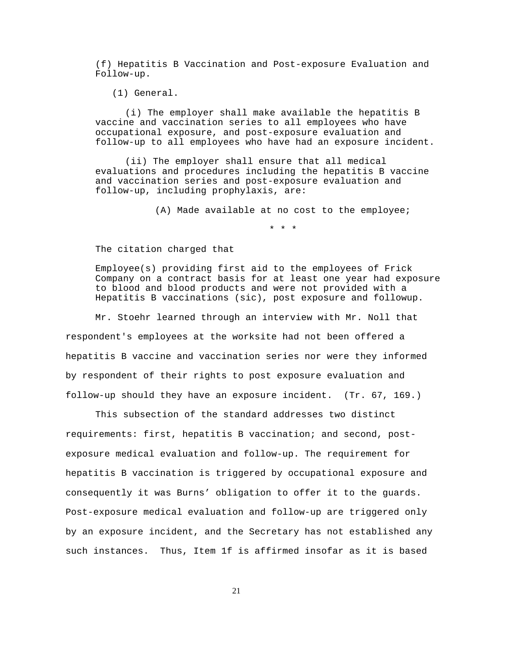(f) Hepatitis B Vaccination and Post-exposure Evaluation and Follow-up.

(1) General.

(i) The employer shall make available the hepatitis B vaccine and vaccination series to all employees who have occupational exposure, and post-exposure evaluation and follow-up to all employees who have had an exposure incident.

(ii) The employer shall ensure that all medical evaluations and procedures including the hepatitis B vaccine and vaccination series and post-exposure evaluation and follow-up, including prophylaxis, are:

(A) Made available at no cost to the employee;

\* \* \*

The citation charged that

Employee(s) providing first aid to the employees of Frick Company on a contract basis for at least one year had exposure to blood and blood products and were not provided with a Hepatitis B vaccinations (sic), post exposure and followup.

Mr. Stoehr learned through an interview with Mr. Noll that respondent's employees at the worksite had not been offered a hepatitis B vaccine and vaccination series nor were they informed by respondent of their rights to post exposure evaluation and follow-up should they have an exposure incident. (Tr. 67, 169.)

This subsection of the standard addresses two distinct requirements: first, hepatitis B vaccination; and second, postexposure medical evaluation and follow-up. The requirement for hepatitis B vaccination is triggered by occupational exposure and consequently it was Burns' obligation to offer it to the guards. Post-exposure medical evaluation and follow-up are triggered only by an exposure incident, and the Secretary has not established any such instances. Thus, Item 1f is affirmed insofar as it is based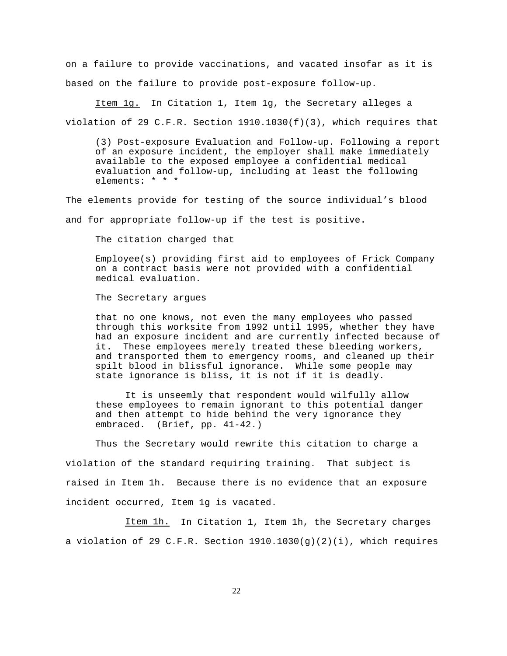on a failure to provide vaccinations, and vacated insofar as it is based on the failure to provide post-exposure follow-up.

Item 1g. In Citation 1, Item 1g, the Secretary alleges a violation of 29 C.F.R. Section  $1910.1030(f)(3)$ , which requires that

(3) Post-exposure Evaluation and Follow-up. Following a report of an exposure incident, the employer shall make immediately available to the exposed employee a confidential medical evaluation and follow-up, including at least the following elements: \* \* \*

The elements provide for testing of the source individual's blood

and for appropriate follow-up if the test is positive.

The citation charged that

Employee(s) providing first aid to employees of Frick Company on a contract basis were not provided with a confidential medical evaluation.

The Secretary argues

that no one knows, not even the many employees who passed through this worksite from 1992 until 1995, whether they have had an exposure incident and are currently infected because of it. These employees merely treated these bleeding workers, and transported them to emergency rooms, and cleaned up their spilt blood in blissful ignorance. While some people may state ignorance is bliss, it is not if it is deadly.

It is unseemly that respondent would wilfully allow these employees to remain ignorant to this potential danger and then attempt to hide behind the very ignorance they embraced. (Brief, pp. 41-42.)

Thus the Secretary would rewrite this citation to charge a violation of the standard requiring training. That subject is raised in Item 1h. Because there is no evidence that an exposure incident occurred, Item 1g is vacated.

Item 1h. In Citation 1, Item 1h, the Secretary charges a violation of 29 C.F.R. Section  $1910.1030(g)(2)(i)$ , which requires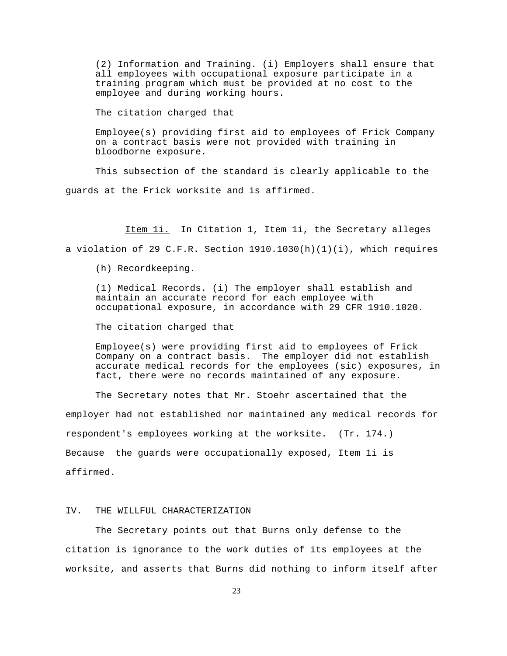(2) Information and Training. (i) Employers shall ensure that all employees with occupational exposure participate in a training program which must be provided at no cost to the employee and during working hours.

The citation charged that

Employee(s) providing first aid to employees of Frick Company on a contract basis were not provided with training in bloodborne exposure.

This subsection of the standard is clearly applicable to the guards at the Frick worksite and is affirmed.

Item 1i. In Citation 1, Item 1i, the Secretary alleges a violation of 29 C.F.R. Section  $1910.1030(h)(1)(i)$ , which requires

(h) Recordkeeping.

(1) Medical Records. (i) The employer shall establish and maintain an accurate record for each employee with occupational exposure, in accordance with 29 CFR 1910.1020.

The citation charged that

Employee(s) were providing first aid to employees of Frick Company on a contract basis. The employer did not establish accurate medical records for the employees (sic) exposures, in fact, there were no records maintained of any exposure.

The Secretary notes that Mr. Stoehr ascertained that the employer had not established nor maintained any medical records for respondent's employees working at the worksite. (Tr. 174.) Because the guards were occupationally exposed, Item 1i is affirmed.

# IV. THE WILLFUL CHARACTERIZATION

The Secretary points out that Burns only defense to the citation is ignorance to the work duties of its employees at the worksite, and asserts that Burns did nothing to inform itself after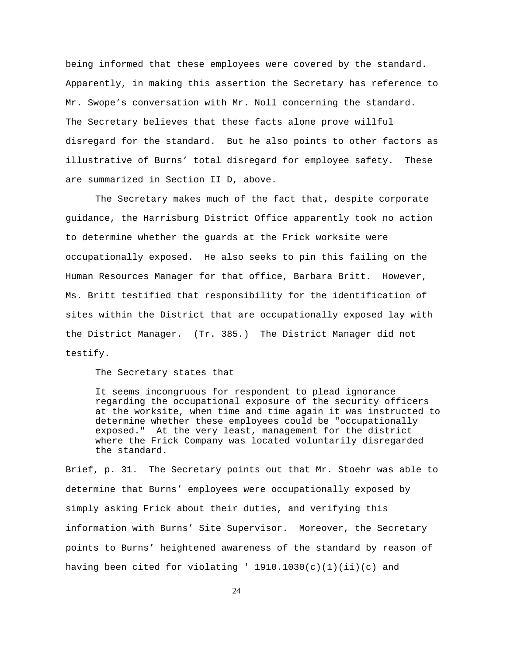being informed that these employees were covered by the standard. Apparently, in making this assertion the Secretary has reference to Mr. Swope's conversation with Mr. Noll concerning the standard. The Secretary believes that these facts alone prove willful disregard for the standard. But he also points to other factors as illustrative of Burns' total disregard for employee safety. These are summarized in Section II D, above.

The Secretary makes much of the fact that, despite corporate guidance, the Harrisburg District Office apparently took no action to determine whether the guards at the Frick worksite were occupationally exposed. He also seeks to pin this failing on the Human Resources Manager for that office, Barbara Britt. However, Ms. Britt testified that responsibility for the identification of sites within the District that are occupationally exposed lay with the District Manager. (Tr. 385.) The District Manager did not testify.

The Secretary states that

It seems incongruous for respondent to plead ignorance regarding the occupational exposure of the security officers at the worksite, when time and time again it was instructed to determine whether these employees could be "occupationally exposed." At the very least, management for the district where the Frick Company was located voluntarily disregarded the standard.

Brief, p. 31. The Secretary points out that Mr. Stoehr was able to determine that Burns' employees were occupationally exposed by simply asking Frick about their duties, and verifying this information with Burns' Site Supervisor. Moreover, the Secretary points to Burns' heightened awareness of the standard by reason of having been cited for violating '  $1910.1030(c)(1)(ii)(c)$  and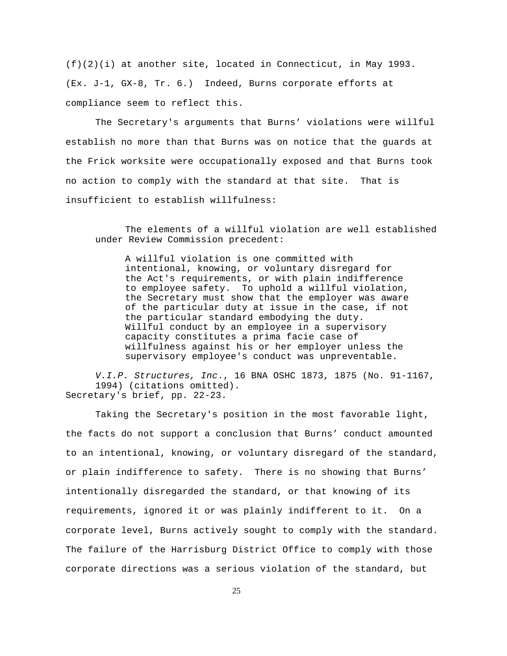(f)(2)(i) at another site, located in Connecticut, in May 1993. (Ex. J-1, GX-8, Tr. 6.) Indeed, Burns corporate efforts at compliance seem to reflect this.

The Secretary's arguments that Burns' violations were willful establish no more than that Burns was on notice that the guards at the Frick worksite were occupationally exposed and that Burns took no action to comply with the standard at that site. That is insufficient to establish willfulness:

The elements of a willful violation are well established under Review Commission precedent:

A willful violation is one committed with intentional, knowing, or voluntary disregard for the Act's requirements, or with plain indifference to employee safety. To uphold a willful violation, the Secretary must show that the employer was aware of the particular duty at issue in the case, if not the particular standard embodying the duty. Willful conduct by an employee in a supervisory capacity constitutes a prima facie case of willfulness against his or her employer unless the supervisory employee's conduct was unpreventable.

V.I.P. Structures, Inc., 16 BNA OSHC 1873, 1875 (No. 91-1167, 1994) (citations omitted). Secretary's brief, pp. 22-23.

Taking the Secretary's position in the most favorable light, the facts do not support a conclusion that Burns' conduct amounted to an intentional, knowing, or voluntary disregard of the standard, or plain indifference to safety. There is no showing that Burns' intentionally disregarded the standard, or that knowing of its requirements, ignored it or was plainly indifferent to it. On a corporate level, Burns actively sought to comply with the standard. The failure of the Harrisburg District Office to comply with those corporate directions was a serious violation of the standard, but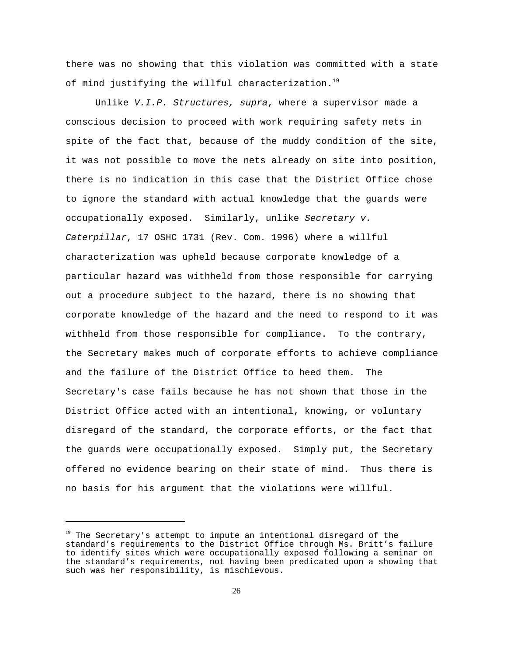there was no showing that this violation was committed with a state of mind justifying the willful characterization.<sup>19</sup>

Unlike V.I.P. Structures, supra, where a supervisor made a conscious decision to proceed with work requiring safety nets in spite of the fact that, because of the muddy condition of the site, it was not possible to move the nets already on site into position, there is no indication in this case that the District Office chose to ignore the standard with actual knowledge that the guards were occupationally exposed. Similarly, unlike Secretary v. Caterpillar, 17 OSHC 1731 (Rev. Com. 1996) where a willful characterization was upheld because corporate knowledge of a particular hazard was withheld from those responsible for carrying out a procedure subject to the hazard, there is no showing that corporate knowledge of the hazard and the need to respond to it was withheld from those responsible for compliance. To the contrary, the Secretary makes much of corporate efforts to achieve compliance and the failure of the District Office to heed them. The Secretary's case fails because he has not shown that those in the District Office acted with an intentional, knowing, or voluntary disregard of the standard, the corporate efforts, or the fact that the guards were occupationally exposed. Simply put, the Secretary offered no evidence bearing on their state of mind. Thus there is no basis for his argument that the violations were willful.

<sup>&</sup>lt;sup>19</sup> The Secretary's attempt to impute an intentional disregard of the standard's requirements to the District Office through Ms. Britt's failure to identify sites which were occupationally exposed following a seminar on the standard's requirements, not having been predicated upon a showing that such was her responsibility, is mischievous.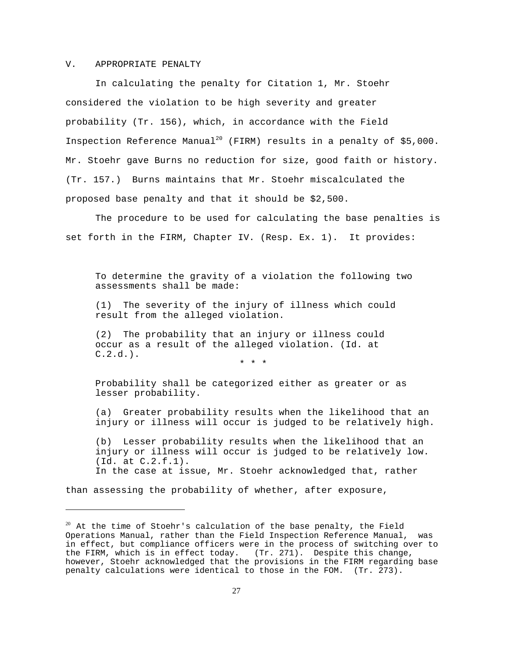#### V. APPROPRIATE PENALTY

In calculating the penalty for Citation 1, Mr. Stoehr considered the violation to be high severity and greater probability (Tr. 156), which, in accordance with the Field Inspection Reference Manual<sup>20</sup> (FIRM) results in a penalty of \$5,000. Mr. Stoehr gave Burns no reduction for size, good faith or history. (Tr. 157.) Burns maintains that Mr. Stoehr miscalculated the proposed base penalty and that it should be \$2,500.

The procedure to be used for calculating the base penalties is set forth in the FIRM, Chapter IV. (Resp. Ex. 1). It provides:

To determine the gravity of a violation the following two assessments shall be made:

(1) The severity of the injury of illness which could result from the alleged violation.

(2) The probability that an injury or illness could occur as a result of the alleged violation. (Id. at  $C.2.d.$ ).

\* \* \*

Probability shall be categorized either as greater or as lesser probability.

(a) Greater probability results when the likelihood that an injury or illness will occur is judged to be relatively high.

(b) Lesser probability results when the likelihood that an injury or illness will occur is judged to be relatively low. (Id. at C.2.f.1). In the case at issue, Mr. Stoehr acknowledged that, rather

than assessing the probability of whether, after exposure,

 $^{20}$  At the time of Stoehr's calculation of the base penalty, the Field Operations Manual, rather than the Field Inspection Reference Manual, was in effect, but compliance officers were in the process of switching over to the FIRM, which is in effect today. (Tr. 271). Despite this change, however, Stoehr acknowledged that the provisions in the FIRM regarding base penalty calculations were identical to those in the FOM. (Tr. 273).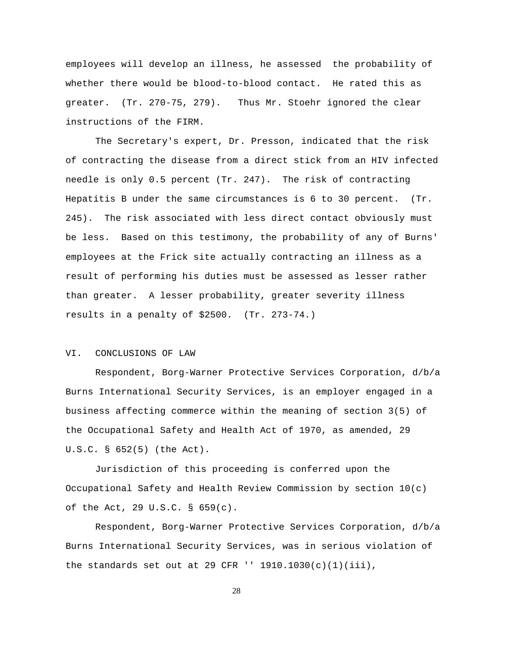employees will develop an illness, he assessed the probability of whether there would be blood-to-blood contact. He rated this as greater. (Tr. 270-75, 279). Thus Mr. Stoehr ignored the clear instructions of the FIRM.

The Secretary's expert, Dr. Presson, indicated that the risk of contracting the disease from a direct stick from an HIV infected needle is only 0.5 percent (Tr. 247). The risk of contracting Hepatitis B under the same circumstances is 6 to 30 percent. (Tr. 245). The risk associated with less direct contact obviously must be less. Based on this testimony, the probability of any of Burns' employees at the Frick site actually contracting an illness as a result of performing his duties must be assessed as lesser rather than greater. A lesser probability, greater severity illness results in a penalty of \$2500. (Tr. 273-74.)

### VI. CONCLUSIONS OF LAW

Respondent, Borg-Warner Protective Services Corporation, d/b/a Burns International Security Services, is an employer engaged in a business affecting commerce within the meaning of section 3(5) of the Occupational Safety and Health Act of 1970, as amended, 29 U.S.C. § 652(5) (the Act).

Jurisdiction of this proceeding is conferred upon the Occupational Safety and Health Review Commission by section 10(c) of the Act, 29 U.S.C. § 659(c).

Respondent, Borg-Warner Protective Services Corporation, d/b/a Burns International Security Services, was in serious violation of the standards set out at 29 CFR  $'$  1910.1030(c)(1)(iii),